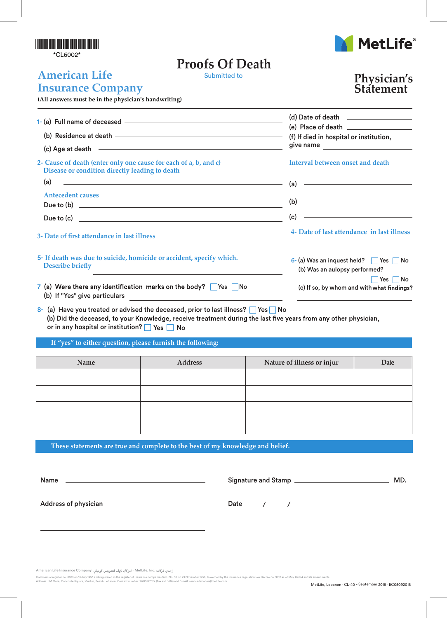#### \*CL6002\*

# **Proofs Of Death**



#### **American Life Insurance Company**

### **Physician's Statement**

**(All answers must be in the physician's handwriting)**

| (c) Age at death entry and the set of the set of the set of the set of the set of the set of the set of the set of the set of the set of the set of the set of the set of the set of the set of the set of the set of the set | $(d)$ Date of death $\qquad \qquad \qquad$<br>(f) If died in hospital or institution,<br>give name <u>contracts</u>         |
|-------------------------------------------------------------------------------------------------------------------------------------------------------------------------------------------------------------------------------|-----------------------------------------------------------------------------------------------------------------------------|
| 2- Cause of death (enter only one cause for each of a, b, and c)<br>Disease or condition directly leading to death                                                                                                            | Interval between onset and death                                                                                            |
| (a)                                                                                                                                                                                                                           | (a)                                                                                                                         |
| <u> 1989 - Johann Stein, markin fan de Amerikaansk kommunenter (</u>                                                                                                                                                          |                                                                                                                             |
| <b>Antecedent causes</b>                                                                                                                                                                                                      | <u> Alexandria de la construcción de la construcción de la construcción de la construcción de la construcción de l</u>      |
|                                                                                                                                                                                                                               | (b)                                                                                                                         |
|                                                                                                                                                                                                                               | <u> 1989 - Johann Stoff, deutscher Stoffen und der Stoffen und der Stoffen und der Stoffen und der Stoffen und d</u><br>(c) |
|                                                                                                                                                                                                                               | 4- Date of last attendance in last illness                                                                                  |
| 5- If death was due to suicide, homicide or accident, specify which.                                                                                                                                                          | 6- (a) Was an inquest held? $\Box$ Yes $\Box$ No                                                                            |
| <b>Describe briefly</b>                                                                                                                                                                                                       | (b) Was an aulopsy performed?                                                                                               |
| 7-(a) Were there any identification marks on the body? $\Box$ Yes $\Box$ No                                                                                                                                                   | $\blacksquare$ Yes $\blacksquare$ No                                                                                        |
| (b) If "Yes" give particulars                                                                                                                                                                                                 | (c) If so, by whom and with what findings?                                                                                  |

8- (a) Have you treated or advised the deceased, prior to last illness?  $\Box$  Yes  $\Box$  No<br>(b) Did the deceased, to your Knowledge, receive treatment during the last five years from any other physician, or in any hospital or institution?  $\Box$  Yes  $\Box$  No

**If "yes" to either question, please furnish the following:**

| Name | Address | Nature of illness or injur | Date |
|------|---------|----------------------------|------|
|      |         |                            |      |
|      |         |                            |      |
|      |         |                            |      |
|      |         |                            |      |
|      |         |                            |      |

**These statements are true and complete to the best of my knowledge and belief.**

| <b>Name</b>                 | Signature and Stamp __ | MD. |
|-----------------------------|------------------------|-----|
| <b>Address of physician</b> | Date                   |     |

إحدى شركات .MetLife, Inc - اميركان لايف انشورنس كومباني American Life Insurance Company

Commercial register no. 3623 on 13 July 1953 and registered in the register of insurance companies Sub. No. 30 on 29 November 1956, Governed by the insurance regulation law Decree no. 9812 as of May 1968 4 and its amendmen